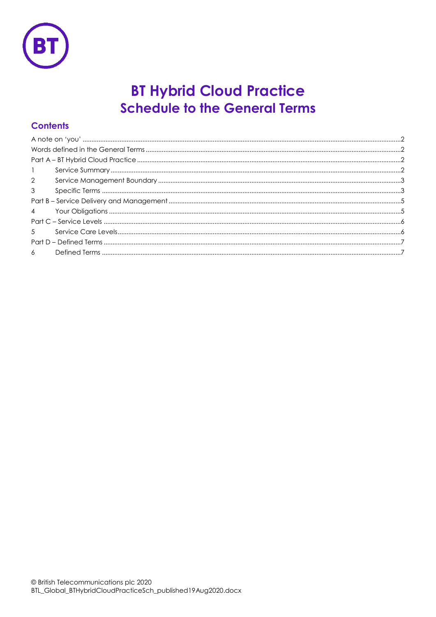

# **BT Hybrid Cloud Practice Schedule to the General Terms**

# **Contents**

| $\mathbf{1}$   |  |
|----------------|--|
| $\overline{2}$ |  |
| $\mathcal{S}$  |  |
|                |  |
| $\overline{4}$ |  |
|                |  |
| 5 <sup>7</sup> |  |
|                |  |
|                |  |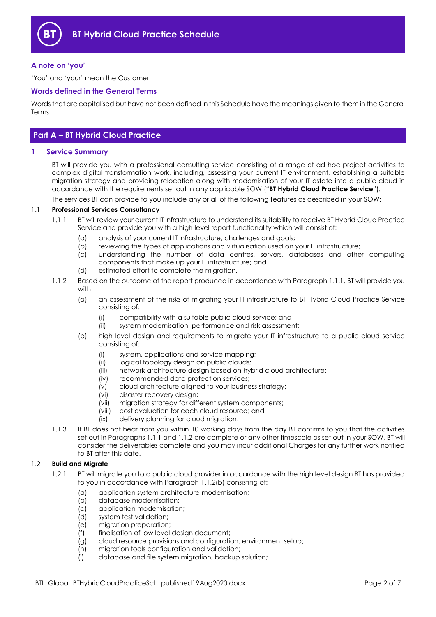

#### <span id="page-1-0"></span>**A note on 'you'**

'You' and 'your' mean the Customer.

#### <span id="page-1-1"></span>**Words defined in the General Terms**

Words that are capitalised but have not been defined in this Schedule have the meanings given to them in the General Terms.

# <span id="page-1-2"></span>**Part A – BT Hybrid Cloud Practice**

#### <span id="page-1-3"></span>**1 Service Summary**

BT will provide you with a professional consulting service consisting of a range of ad hoc project activities to complex digital transformation work, including, assessing your current IT environment, establishing a suitable migration strategy and providing relocation along with modernisation of your IT estate into a public cloud in accordance with the requirements set out in any applicable SOW ("**BT Hybrid Cloud Practice Service**").

The services BT can provide to you include any or all of the following features as described in your SOW:

#### <span id="page-1-4"></span>1.1 **Professional Services Consultancy**

- 1.1.1 BT will review your current IT infrastructure to understand its suitability to receive BT Hybrid Cloud Practice Service and provide you with a high level report functionality which will consist of:
	- (a) analysis of your current IT infrastructure, challenges and goals;
	- (b) reviewing the types of applications and virtualisation used on your IT infrastructure;
	- (c) understanding the number of data centres, servers, databases and other computing components that make up your IT infrastructure; and
	- (d) estimated effort to complete the migration.
- <span id="page-1-6"></span><span id="page-1-5"></span>1.1.2 Based on the outcome of the report produced in accordance with Paragraph [1.1.1,](#page-1-4) BT will provide you with:
	- (a) an assessment of the risks of migrating your IT infrastructure to BT Hybrid Cloud Practice Service consisting of:
		- (i) compatibility with a suitable public cloud service; and
		- (ii) system modernisation, performance and risk assessment;
	- (b) high level design and requirements to migrate your IT infrastructure to a public cloud service consisting of:
		- (i) system, applications and service mapping;
		- (ii) logical topology design on public clouds;
		- (iii) network architecture design based on hybrid cloud architecture;
		- (iv) recommended data protection services;
		- (v) cloud architecture aligned to your business strategy;
		- (vi) disaster recovery design;
		- (vii) migration strategy for different system components;
		- (viii) cost evaluation for each cloud resource; and
		- (ix) delivery planning for cloud migration.
- 1.1.3 If BT does not hear from you within 10 working days from the day BT confirms to you that the activities set out in Paragraph[s 1.1.1](#page-1-4) and [1.1.2](#page-1-5) are complete or any other timescale as set out in your SOW, BT will consider the deliverables complete and you may incur additional Charges for any further work notified to BT after this date.

#### 1.2 **Build and Migrate**

- 1.2.1 BT will migrate you to a public cloud provider in accordance with the high level design BT has provided to you in accordance with Paragraph [1.1.2\(b\)](#page-1-6) consisting of:
	- (a) application system architecture modernisation;
	- (b) database modernisation;
	- (c) application modernisation;<br>(d) system test validation;
	- system test validation;
	- (e) migration preparation;
	- (f) finalisation of low level design document;
	- (g) cloud resource provisions and configuration, environment setup;
	- (h) migration tools configuration and validation;
	- (i) database and file system migration, backup solution;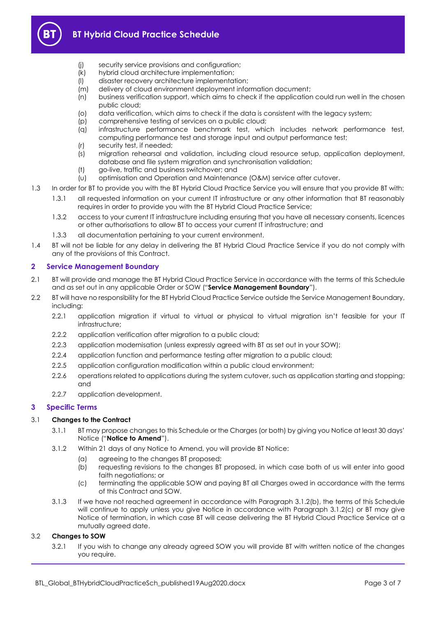

- (j) security service provisions and configuration;
- (k) hybrid cloud architecture implementation;
- (l) disaster recovery architecture implementation;
- (m) delivery of cloud environment deployment information document;
- (n) business verification support, which aims to check if the application could run well in the chosen public cloud;
- (o) data verification, which aims to check if the data is consistent with the legacy system;
- (p) comprehensive testing of services on a public cloud;
- (q) infrastructure performance benchmark test, which includes network performance test, computing performance test and storage input and output performance test;
- (r) security test, if needed;
- (s) migration rehearsal and validation, including cloud resource setup, application deployment, database and file system migration and synchronisation validation;
- (t) go-live, traffic and business switchover; and
- (u) optimisation and Operation and Maintenance (O&M) service after cutover.
- 1.3 In order for BT to provide you with the BT Hybrid Cloud Practice Service you will ensure that you provide BT with:
	- 1.3.1 all requested information on your current IT infrastructure or any other information that BT reasonably requires in order to provide you with the BT Hybrid Cloud Practice Service;
	- 1.3.2 access to your current IT infrastructure including ensuring that you have all necessary consents, licences or other authorisations to allow BT to access your current IT infrastructure; and
	- 1.3.3 all documentation pertaining to your current environment.
- 1.4 BT will not be liable for any delay in delivering the BT Hybrid Cloud Practice Service if you do not comply with any of the provisions of this Contract.

#### <span id="page-2-0"></span>**2 Service Management Boundary**

- <span id="page-2-4"></span>2.1 BT will provide and manage the BT Hybrid Cloud Practice Service in accordance with the terms of this Schedule and as set out in any applicable Order or SOW ("**Service Management Boundary**").
- 2.2 BT will have no responsibility for the BT Hybrid Cloud Practice Service outside the Service Management Boundary, including:
	- 2.2.1 application migration if virtual to virtual or physical to virtual migration isn't feasible for your IT infrastructure;
	- 2.2.2 application verification after migration to a public cloud;
	- 2.2.3 application modernisation (unless expressly agreed with BT as set out in your SOW);
	- 2.2.4 application function and performance testing after migration to a public cloud;
	- 2.2.5 application configuration modification within a public cloud environment;
	- 2.2.6 operations related to applications during the system cutover, such as application starting and stopping; and
	- 2.2.7 application development.

#### <span id="page-2-1"></span>**3 Specific Terms**

#### 3.1 **Changes to the Contract**

- 3.1.1 BT may propose changes to this Schedule or the Charges (or both) by giving you Notice at least 30 days' Notice ("**Notice to Amend**").
- <span id="page-2-2"></span>3.1.2 Within 21 days of any Notice to Amend, you will provide BT Notice:
	- (a) agreeing to the changes BT proposed;
	- (b) requesting revisions to the changes BT proposed, in which case both of us will enter into good faith negotiations; or
	- (c) terminating the applicable SOW and paying BT all Charges owed in accordance with the terms of this Contract and SOW.
- <span id="page-2-3"></span>3.1.3 If we have not reached agreement in accordance with Paragraph [3.1.2\(b\),](#page-2-2) the terms of this Schedule will continue to apply unless you give Notice in accordance with Paragraph [3.1.2\(c\)](#page-2-3) or BT may give Notice of termination, in which case BT will cease delivering the BT Hybrid Cloud Practice Service at a mutually agreed date.

#### 3.2 **Changes to SOW**

3.2.1 If you wish to change any already agreed SOW you will provide BT with written notice of the changes you require.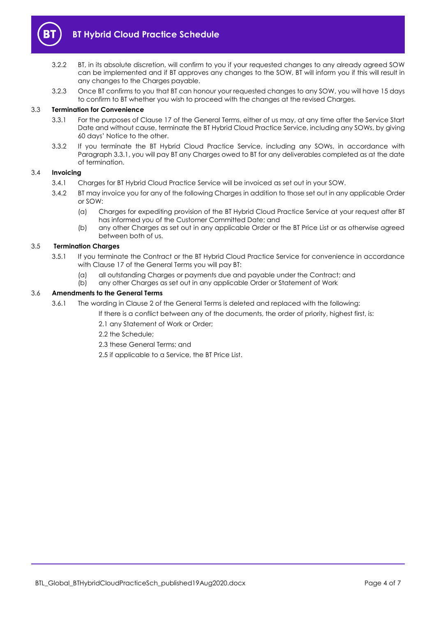

- 3.2.2 BT, in its absolute discretion, will confirm to you if your requested changes to any already agreed SOW can be implemented and if BT approves any changes to the SOW, BT will inform you if this will result in any changes to the Charges payable.
- 3.2.3 Once BT confirms to you that BT can honour your requested changes to any SOW, you will have 15 days to confirm to BT whether you wish to proceed with the changes at the revised Charges.

#### <span id="page-3-0"></span>3.3 **Termination for Convenience**

- 3.3.1 For the purposes of Clause 17 of the General Terms, either of us may, at any time after the Service Start Date and without cause, terminate the BT Hybrid Cloud Practice Service, including any SOWs, by giving 60 days' Notice to the other.
- 3.3.2 If you terminate the BT Hybrid Cloud Practice Service, including any SOWs, in accordance with Paragrap[h 3.3.1,](#page-3-0) you will pay BT any Charges owed to BT for any deliverables completed as at the date of termination.

#### 3.4 **Invoicing**

- 3.4.1 Charges for BT Hybrid Cloud Practice Service will be invoiced as set out in your SOW.
- 3.4.2 BT may invoice you for any of the following Charges in addition to those set out in any applicable Order or SOW:
	- (a) Charges for expediting provision of the BT Hybrid Cloud Practice Service at your request after BT has informed you of the Customer Committed Date; and
	- (b) any other Charges as set out in any applicable Order or the BT Price List or as otherwise agreed between both of us.

#### 3.5 **Termination Charges**

- 3.5.1 If you terminate the Contract or the BT Hybrid Cloud Practice Service for convenience in accordance with Clause 17 of the General Terms you will pay BT:
	- (a) all outstanding Charges or payments due and payable under the Contract; and
	- (b) any other Charges as set out in any applicable Order or Statement of Work

#### 3.6 **Amendments to the General Terms**

- 3.6.1 The wording in Clause 2 of the General Terms is deleted and replaced with the following:
	- If there is a conflict between any of the documents, the order of priority, highest first, is:
	- 2.1 any Statement of Work or Order;
	- 2.2 the Schedule;
	- 2.3 these General Terms; and
	- 2.5 if applicable to a Service, the BT Price List.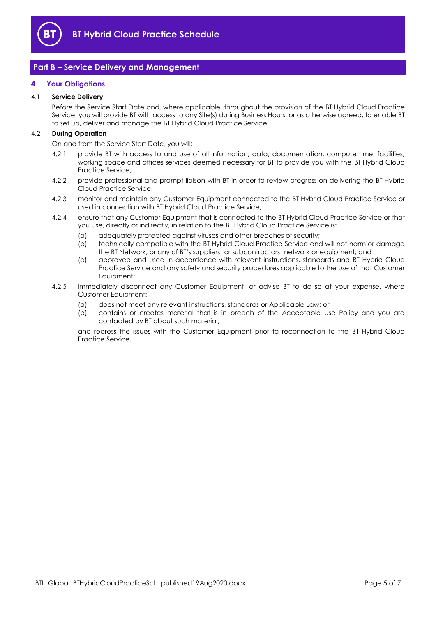

# <span id="page-4-0"></span>**Part B – Service Delivery and Management**

#### <span id="page-4-1"></span>**4 Your Obligations**

#### 4.1 **Service Delivery**

Before the Service Start Date and, where applicable, throughout the provision of the BT Hybrid Cloud Practice Service, you will provide BT with access to any Site(s) during Business Hours, or as otherwise agreed, to enable BT to set up, deliver and manage the BT Hybrid Cloud Practice Service.

#### 4.2 **During Operation**

On and from the Service Start Date, you will:

- 4.2.1 provide BT with access to and use of all information, data, documentation, compute time, facilities, working space and offices services deemed necessary for BT to provide you with the BT Hybrid Cloud Practice Service;
- 4.2.2 provide professional and prompt liaison with BT in order to review progress on delivering the BT Hybrid Cloud Practice Service;
- 4.2.3 monitor and maintain any Customer Equipment connected to the BT Hybrid Cloud Practice Service or used in connection with BT Hybrid Cloud Practice Service;
- 4.2.4 ensure that any Customer Equipment that is connected to the BT Hybrid Cloud Practice Service or that you use, directly or indirectly, in relation to the BT Hybrid Cloud Practice Service is:
	- (a) adequately protected against viruses and other breaches of security;
	- (b) technically compatible with the BT Hybrid Cloud Practice Service and will not harm or damage the BT Network, or any of BT's suppliers' or subcontractors' network or equipment; and
	- (c) approved and used in accordance with relevant instructions, standards and BT Hybrid Cloud Practice Service and any safety and security procedures applicable to the use of that Customer Equipment;
- 4.2.5 immediately disconnect any Customer Equipment, or advise BT to do so at your expense, where Customer Equipment:
	- (a) does not meet any relevant instructions, standards or Applicable Law; or
	- (b) contains or creates material that is in breach of the Acceptable Use Policy and you are contacted by BT about such material,

and redress the issues with the Customer Equipment prior to reconnection to the BT Hybrid Cloud Practice Service.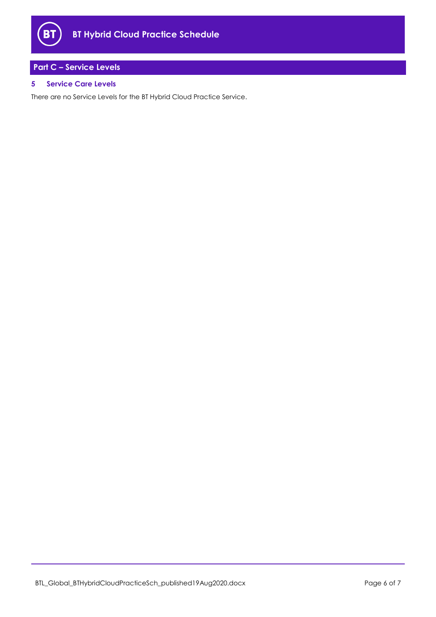

# <span id="page-5-0"></span>**Part C – Service Levels**

### <span id="page-5-1"></span>**5 Service Care Levels**

There are no Service Levels for the BT Hybrid Cloud Practice Service.